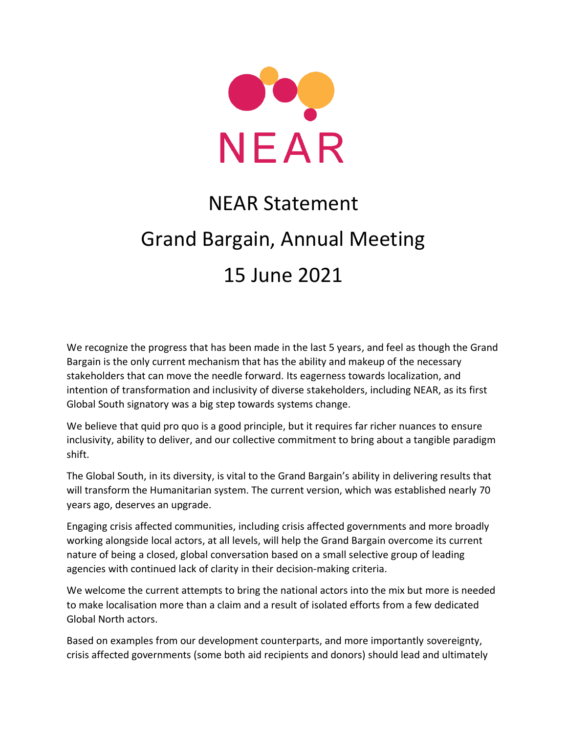

## NEAR Statement Grand Bargain, Annual Meeting 15 June 2021

We recognize the progress that has been made in the last 5 years, and feel as though the Grand Bargain is the only current mechanism that has the ability and makeup of the necessary stakeholders that can move the needle forward. Its eagerness towards localization, and intention of transformation and inclusivity of diverse stakeholders, including NEAR, as its first Global South signatory was a big step towards systems change.

We believe that quid pro quo is a good principle, but it requires far richer nuances to ensure inclusivity, ability to deliver, and our collective commitment to bring about a tangible paradigm shift.

The Global South, in its diversity, is vital to the Grand Bargain's ability in delivering results that will transform the Humanitarian system. The current version, which was established nearly 70 years ago, deserves an upgrade.

Engaging crisis affected communities, including crisis affected governments and more broadly working alongside local actors, at all levels, will help the Grand Bargain overcome its current nature of being a closed, global conversation based on a small selective group of leading agencies with continued lack of clarity in their decision-making criteria.

We welcome the current attempts to bring the national actors into the mix but more is needed to make localisation more than a claim and a result of isolated efforts from a few dedicated Global North actors.

Based on examples from our development counterparts, and more importantly sovereignty, crisis affected governments (some both aid recipients and donors) should lead and ultimately